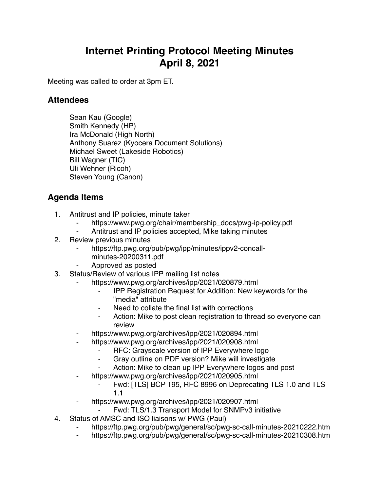## **Internet Printing Protocol Meeting Minutes April 8, 2021**

Meeting was called to order at 3pm ET.

## **Attendees**

Sean Kau (Google) Smith Kennedy (HP) Ira McDonald (High North) Anthony Suarez (Kyocera Document Solutions) Michael Sweet (Lakeside Robotics) Bill Wagner (TIC) Uli Wehner (Ricoh) Steven Young (Canon)

## **Agenda Items**

- 1. Antitrust and IP policies, minute taker
	- https://www.pwg.org/chair/membership\_docs/pwg-ip-policy.pdf
	- Antitrust and IP policies accepted, Mike taking minutes
- 2. Review previous minutes
	- https://ftp.pwg.org/pub/pwg/ipp/minutes/ippv2-concallminutes-20200311.pdf
	- ⁃ Approved as posted
- 3. Status/Review of various IPP mailing list notes
	- https://www.pwg.org/archives/ipp/2021/020879.html
		- **IPP Registration Request for Addition: New keywords for the** "media" attribute
		- Need to collate the final list with corrections
		- ⁃ Action: Mike to post clean registration to thread so everyone can review
	- https://www.pwg.org/archives/ipp/2021/020894.html
		- https://www.pwg.org/archives/ipp/2021/020908.html
			- RFC: Grayscale version of IPP Everywhere logo
			- Gray outline on PDF version? Mike will investigate
			- Action: Mike to clean up IPP Everywhere logos and post
	- https://www.pwg.org/archives/ipp/2021/020905.html
		- Fwd: [TLS] BCP 195, RFC 8996 on Deprecating TLS 1.0 and TLS 1.1
	- https://www.pwg.org/archives/ipp/2021/020907.html
		- Fwd: TLS/1.3 Transport Model for SNMPv3 initiative
- 4. Status of AMSC and ISO liaisons w/ PWG (Paul)
	- ⁃ https://ftp.pwg.org/pub/pwg/general/sc/pwg-sc-call-minutes-20210222.htm
	- ⁃ https://ftp.pwg.org/pub/pwg/general/sc/pwg-sc-call-minutes-20210308.htm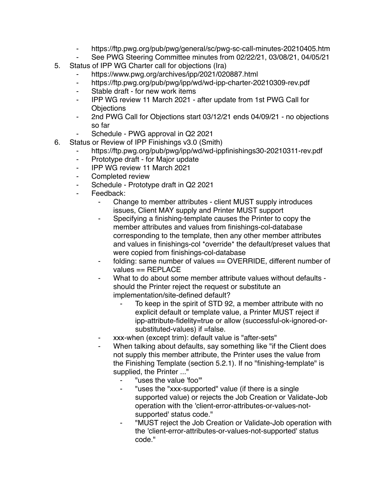- ⁃ https://ftp.pwg.org/pub/pwg/general/sc/pwg-sc-call-minutes-20210405.htm
- ⁃ See PWG Steering Committee minutes from 02/22/21, 03/08/21, 04/05/21
- 5. Status of IPP WG Charter call for objections (Ira)
	- https://www.pwg.org/archives/ipp/2021/020887.html
	- ⁃ https://ftp.pwg.org/pub/pwg/ipp/wd/wd-ipp-charter-20210309-rev.pdf
	- ⁃ Stable draft for new work items
	- ⁃ IPP WG review 11 March 2021 after update from 1st PWG Call for **Objections**
	- ⁃ 2nd PWG Call for Objections start 03/12/21 ends 04/09/21 no objections so far
	- Schedule PWG approval in Q2 2021
- 6. Status or Review of IPP Finishings v3.0 (Smith)
	- https://ftp.pwg.org/pub/pwg/ipp/wd/wd-ippfinishings30-20210311-rev.pdf
	- ⁃ Prototype draft for Major update
	- ⁃ IPP WG review 11 March 2021
	- Completed review
	- Schedule Prototype draft in Q2 2021
	- Feedback:
		- Change to member attributes client MUST supply introduces issues, Client MAY supply and Printer MUST support
		- Specifying a finishing-template causes the Printer to copy the member attributes and values from finishings-col-database corresponding to the template, then any other member attributes and values in finishings-col \*override\* the default/preset values that were copied from finishings-col-database
		- folding: same number of values == OVERRIDE, different number of values == REPLACE
		- What to do about some member attribute values without defaults should the Printer reject the request or substitute an implementation/site-defined default?
			- To keep in the spirit of STD 92, a member attribute with no explicit default or template value, a Printer MUST reject if ipp-attribute-fidelity=true or allow (successful-ok-ignored-orsubstituted-values) if =false.
		- ⁃ xxx-when (except trim): default value is "after-sets"
		- When talking about defaults, say something like "if the Client does" not supply this member attribute, the Printer uses the value from the Finishing Template (section 5.2.1). If no "finishing-template" is supplied, the Printer ..."
			- "uses the value 'foo'"
			- "uses the "xxx-supported" value (if there is a single supported value) or rejects the Job Creation or Validate-Job operation with the 'client-error-attributes-or-values-notsupported' status code."
			- ⁃ "MUST reject the Job Creation or Validate-Job operation with the 'client-error-attributes-or-values-not-supported' status code."